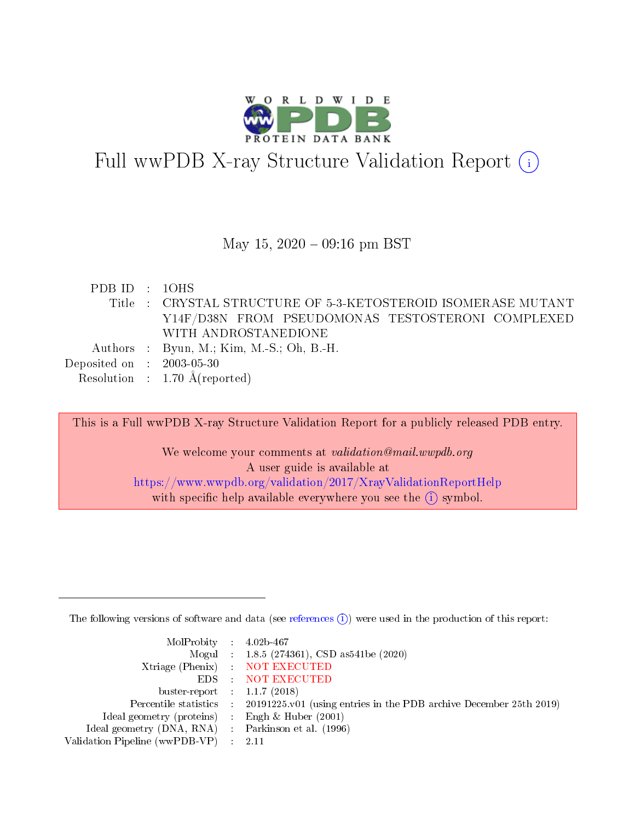

# Full wwPDB X-ray Structure Validation Report (i)

#### May 15,  $2020 - 09:16$  pm BST

| PDBID : 10HS                |                                                               |
|-----------------------------|---------------------------------------------------------------|
|                             | Title : CRYSTAL STRUCTURE OF 5-3-KETOSTEROID ISOMERASE MUTANT |
|                             | Y14F/D38N FROM PSEUDOMONAS TESTOSTERONI COMPLEXED             |
|                             | WITH ANDROSTANEDIONE                                          |
|                             | Authors : Byun, M.; Kim, M.-S.; Oh, B.-H.                     |
| Deposited on : $2003-05-30$ |                                                               |
|                             | Resolution : $1.70 \text{ Å}$ (reported)                      |

This is a Full wwPDB X-ray Structure Validation Report for a publicly released PDB entry. We welcome your comments at *validation@mail.wwpdb.org* A user guide is available at

<https://www.wwpdb.org/validation/2017/XrayValidationReportHelp> with specific help available everywhere you see the  $(i)$  symbol.

The following versions of software and data (see [references](https://www.wwpdb.org/validation/2017/XrayValidationReportHelp#references)  $(i)$ ) were used in the production of this report:

| MolProbity : $4.02b-467$                            |                                                                                            |
|-----------------------------------------------------|--------------------------------------------------------------------------------------------|
|                                                     | Mogul : $1.8.5$ (274361), CSD as 541be (2020)                                              |
|                                                     | Xtriage (Phenix) NOT EXECUTED                                                              |
|                                                     | EDS : NOT EXECUTED                                                                         |
| buster-report : $1.1.7(2018)$                       |                                                                                            |
|                                                     | Percentile statistics : 20191225.v01 (using entries in the PDB archive December 25th 2019) |
| Ideal geometry (proteins) : Engh $\&$ Huber (2001)  |                                                                                            |
| Ideal geometry (DNA, RNA) : Parkinson et al. (1996) |                                                                                            |
| Validation Pipeline (wwPDB-VP)                      | -2.11                                                                                      |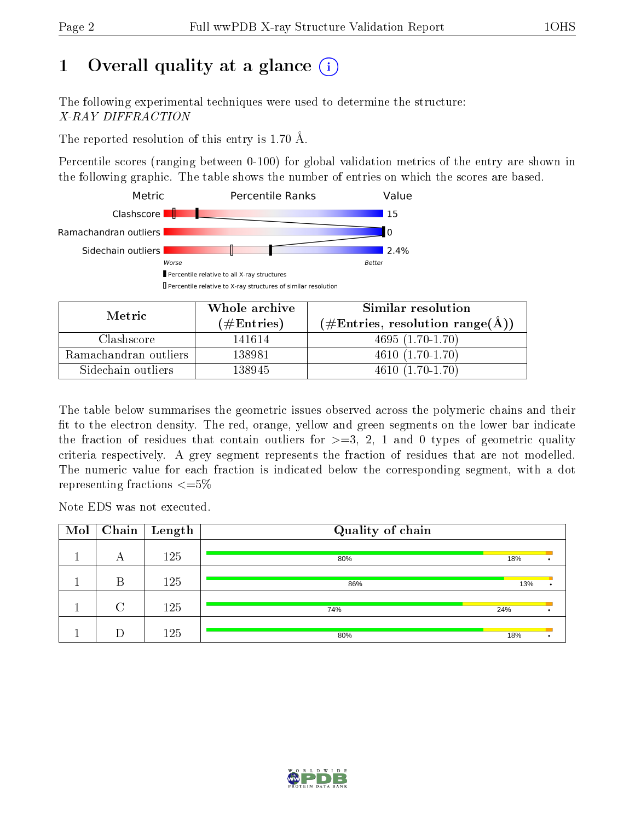# 1 [O](https://www.wwpdb.org/validation/2017/XrayValidationReportHelp#overall_quality)verall quality at a glance  $(i)$

The following experimental techniques were used to determine the structure: X-RAY DIFFRACTION

The reported resolution of this entry is 1.70 Å.

Percentile scores (ranging between 0-100) for global validation metrics of the entry are shown in the following graphic. The table shows the number of entries on which the scores are based.



| Metric                | Whole archive        | Similar resolution                                         |  |  |
|-----------------------|----------------------|------------------------------------------------------------|--|--|
|                       | $(\#\text{Entries})$ | $(\#\text{Entries}, \text{resolution range}(\text{\AA}) )$ |  |  |
| Clashscore            | 141614               | $4695(1.70-1.70)$                                          |  |  |
| Ramachandran outliers | 138981               | $4610(1.70-1.70)$                                          |  |  |
| Sidechain outliers    | 138945               | $4610(1.70-1.70)$                                          |  |  |

The table below summarises the geometric issues observed across the polymeric chains and their fit to the electron density. The red, orange, yellow and green segments on the lower bar indicate the fraction of residues that contain outliers for  $\geq=3$ , 2, 1 and 0 types of geometric quality criteria respectively. A grey segment represents the fraction of residues that are not modelled. The numeric value for each fraction is indicated below the corresponding segment, with a dot representing fractions  $\leq=5\%$ 

Note EDS was not executed.

| Mol | Chain $ $ | $\mid$ Length | Quality of chain |     |  |
|-----|-----------|---------------|------------------|-----|--|
|     | А         | 125           | 80%              | 18% |  |
|     | В         | 125           | 86%              | 13% |  |
|     | $\cap$    | 125           | 74%              | 24% |  |
|     |           | 125           | 80%              | 18% |  |

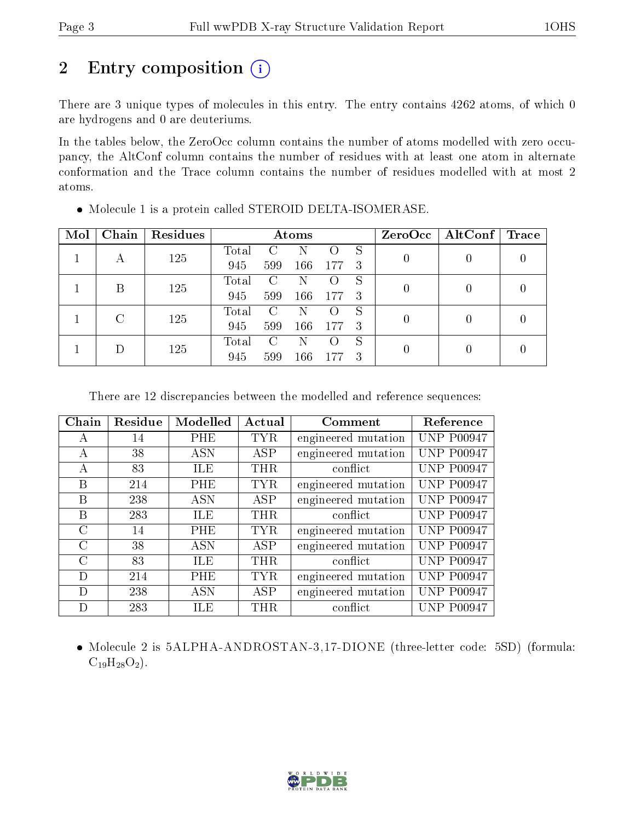# 2 Entry composition (i)

There are 3 unique types of molecules in this entry. The entry contains 4262 atoms, of which 0 are hydrogens and 0 are deuteriums.

In the tables below, the ZeroOcc column contains the number of atoms modelled with zero occupancy, the AltConf column contains the number of residues with at least one atom in alternate conformation and the Trace column contains the number of residues modelled with at most 2 atoms.

| Mol | Chain | Residues | Atoms         |               |     |     |    |  | $ZeroOcc \   \$ AltConf | $\operatorname{Trace}$ |
|-----|-------|----------|---------------|---------------|-----|-----|----|--|-------------------------|------------------------|
|     |       | 125      | Total         |               |     |     | S  |  |                         |                        |
|     | А     |          | 945           | 599           | 166 | 177 | -3 |  |                         |                        |
|     | B     | 125      | Total         | C             | N   |     | S  |  |                         |                        |
|     |       |          | 945           | 599           | 166 | 177 | -3 |  |                         |                        |
|     | C     |          | $\rm Total$   | $\mathcal{C}$ | N   |     | S  |  |                         |                        |
|     | 125   | 945      | 599           | 166           | 177 | -3  |    |  |                         |                        |
|     | 125   | Total    | $\mathcal{C}$ |               |     | S   |    |  |                         |                        |
|     |       | 945      | 599           | 166           | 177 | 3   |    |  |                         |                        |

• Molecule 1 is a protein called STEROID DELTA-ISOMERASE.

There are 12 discrepancies between the modelled and reference sequences:

| Chain         | Residue | Modelled   | Actual     | Comment             | Reference         |
|---------------|---------|------------|------------|---------------------|-------------------|
| А             | 14      | PHE        | TYR.       | engineered mutation | <b>UNP P00947</b> |
| А             | 38      | <b>ASN</b> | <b>ASP</b> | engineered mutation | <b>UNP P00947</b> |
| $\mathbf{A}$  | 83      | ILE        | THR        | conflict            | <b>UNP P00947</b> |
| B             | 214     | PHE        | TYR        | engineered mutation | <b>UNP P00947</b> |
| B             | 238     | <b>ASN</b> | <b>ASP</b> | engineered mutation | <b>UNP P00947</b> |
| B             | 283     | ILE        | $\rm THR$  | conflict            | <b>UNP P00947</b> |
| $\bigcap$     | 14      | <b>PHE</b> | TYR.       | engineered mutation | <b>UNP P00947</b> |
| $\mathcal{C}$ | 38      | <b>ASN</b> | ASP        | engineered mutation | <b>UNP P00947</b> |
| $\rm C$       | 83      | ILE        | <b>THR</b> | conflict            | <b>UNP P00947</b> |
| D             | 214     | PHE        | TYR        | engineered mutation | <b>UNP P00947</b> |
| D             | 238     | ASN        | ASP        | engineered mutation | <b>UNP P00947</b> |
| D             | 283     | ILE        | $\rm THR$  | conflict            | P00947<br>NP.     |

• Molecule 2 is 5ALPHA-ANDROSTAN-3,17-DIONE (three-letter code: 5SD) (formula:  $C_{19}H_{28}O_2$ ).

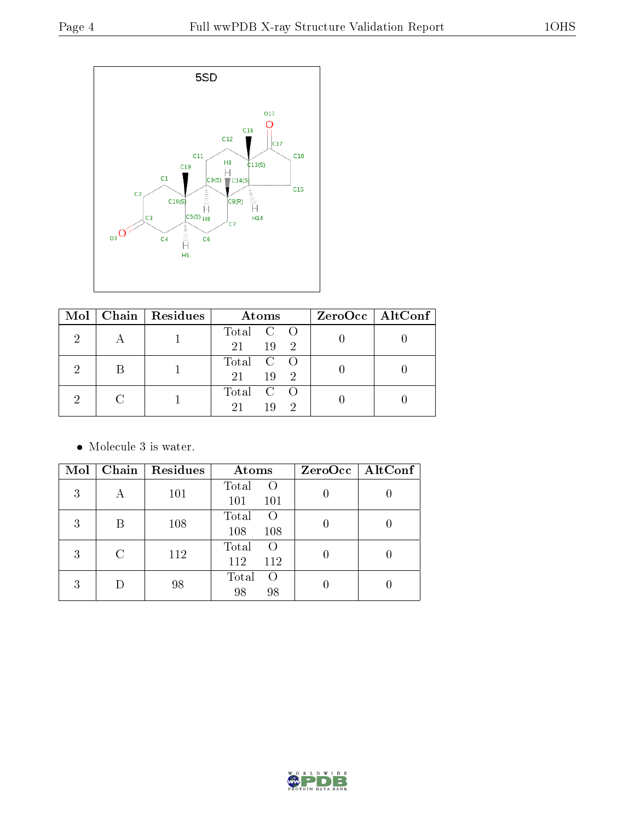

| Mol | Chain   Residues | Atoms                                  | $ZeroOcc \   \ AltConf \  $ |
|-----|------------------|----------------------------------------|-----------------------------|
|     |                  | Total C O<br>21<br>19<br>$\mathcal{D}$ |                             |
|     |                  | Total C O<br>21<br>19<br>$\Omega$      |                             |
|     |                  | Total C O<br>21<br>19<br>$\Omega$      |                             |

• Molecule 3 is water.

| Mol |   | Chain   Residues | Atoms                           | ZeroOcc   AltConf |
|-----|---|------------------|---------------------------------|-------------------|
| 3   | А | 101              | Total<br>$\left($<br>101<br>101 |                   |
| 3   | В | 108              | Total<br>$\left($<br>108<br>108 |                   |
| 3   | C | 112              | Total<br>$\Omega$<br>112<br>112 |                   |
| 3   |   | 98               | Total<br>$\left($<br>98<br>98   |                   |

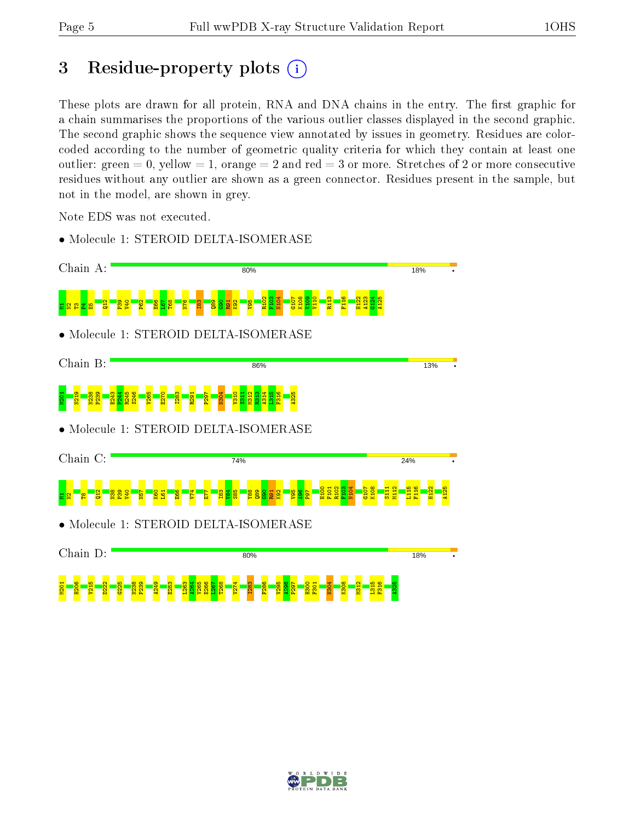## 3 Residue-property plots  $(i)$

These plots are drawn for all protein, RNA and DNA chains in the entry. The first graphic for a chain summarises the proportions of the various outlier classes displayed in the second graphic. The second graphic shows the sequence view annotated by issues in geometry. Residues are colorcoded according to the number of geometric quality criteria for which they contain at least one outlier: green  $= 0$ , yellow  $= 1$ , orange  $= 2$  and red  $= 3$  or more. Stretches of 2 or more consecutive residues without any outlier are shown as a green connector. Residues present in the sample, but not in the model, are shown in grey.

Note EDS was not executed.

• Molecule 1: STEROID DELTA-ISOMERASE



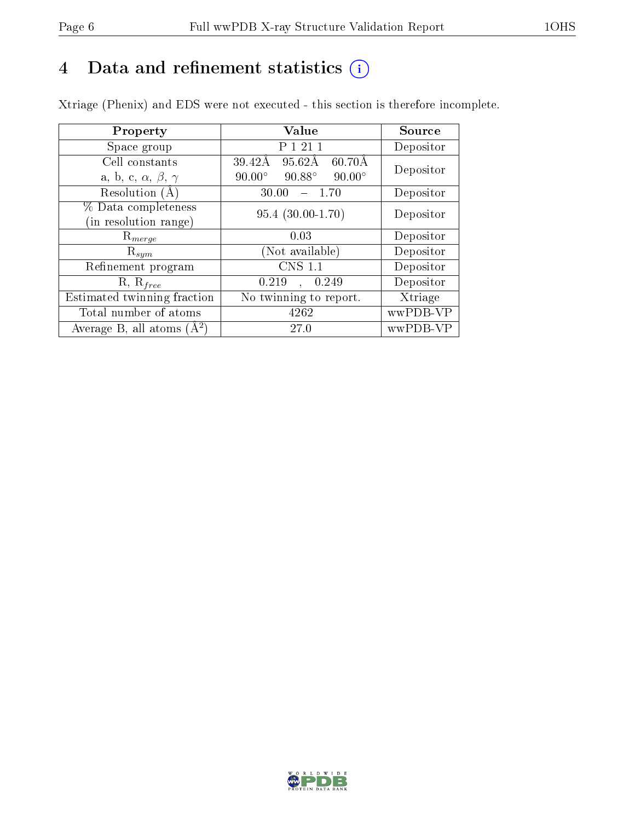# 4 Data and refinement statistics  $(i)$

Xtriage (Phenix) and EDS were not executed - this section is therefore incomplete.

| Property                               | Value                                            | Source    |  |
|----------------------------------------|--------------------------------------------------|-----------|--|
| Space group                            | P 1 21 1                                         | Depositor |  |
| Cell constants                         | 39.42Å<br>$95.62\text{\AA}$<br>$60.70\text{\AA}$ | Depositor |  |
| a, b, c, $\alpha$ , $\beta$ , $\gamma$ | $90.88^\circ$<br>$90.00^\circ$<br>$90.00^\circ$  |           |  |
| Resolution $(A)$                       | 30.00<br>- 1.70                                  | Depositor |  |
| % Data completeness                    | $95.4(30.00-1.70)$                               | Depositor |  |
| (in resolution range)                  |                                                  |           |  |
| $\mathrm{R}_{merge}$                   | 0.03                                             | Depositor |  |
| $\mathrm{R}_{sym}$                     | (Not available)                                  | Depositor |  |
| Refinement program                     | <b>CNS 1.1</b>                                   | Depositor |  |
| $R, R_{free}$                          | , 0.249<br>0.219                                 | Depositor |  |
| Estimated twinning fraction            | No twinning to report.                           | Xtriage   |  |
| Total number of atoms                  | 4262                                             | wwPDB-VP  |  |
| Average B, all atoms $(A^2)$           | 27.0                                             | wwPDB-VP  |  |

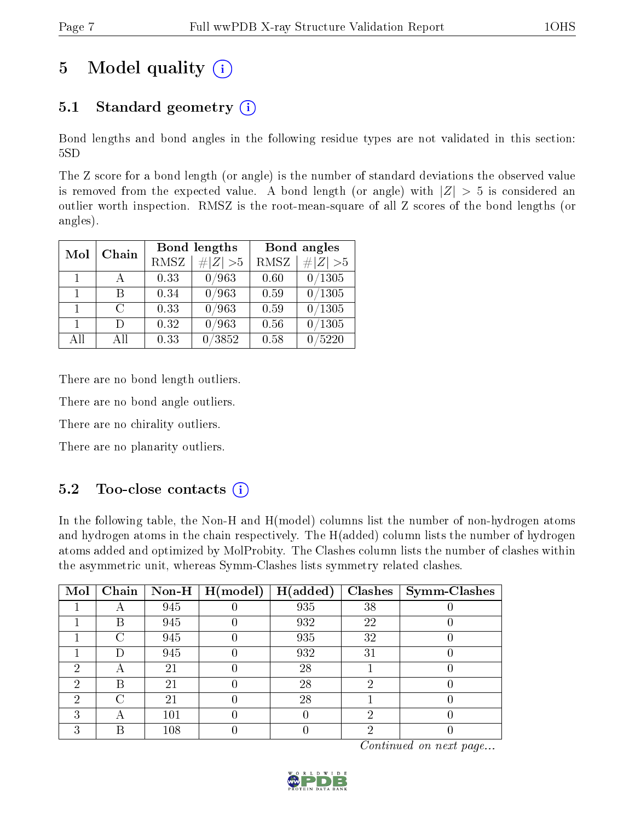# 5 Model quality  $(i)$

### 5.1 Standard geometry  $(i)$

Bond lengths and bond angles in the following residue types are not validated in this section: 5SD

The Z score for a bond length (or angle) is the number of standard deviations the observed value is removed from the expected value. A bond length (or angle) with  $|Z| > 5$  is considered an outlier worth inspection. RMSZ is the root-mean-square of all Z scores of the bond lengths (or angles).

| Mol          | Chain  |      | Bond lengths | Bond angles |             |  |
|--------------|--------|------|--------------|-------------|-------------|--|
|              |        | RMSZ | $\ Z\  > 5$  | <b>RMSZ</b> | $\ Z\  > 5$ |  |
| 1.           |        | 0.33 | 0/963        | 0.60        | 0/1305      |  |
| $\mathbf{1}$ | В      | 0.34 | 0/963        | 0.59        | 0/1305      |  |
| $\mathbf{1}$ | $\cap$ | 0.33 | 0/963        | 0.59        | 0/1305      |  |
| $\mathbf{1}$ | Ð      | 0.32 | 0/963        | 0.56        | /1305       |  |
| All          | Αll    | 0.33 | /3852        | 0.58        | /5220       |  |

There are no bond length outliers.

There are no bond angle outliers.

There are no chirality outliers.

There are no planarity outliers.

### $5.2$  Too-close contacts  $\overline{1}$

In the following table, the Non-H and H(model) columns list the number of non-hydrogen atoms and hydrogen atoms in the chain respectively. The H(added) column lists the number of hydrogen atoms added and optimized by MolProbity. The Clashes column lists the number of clashes within the asymmetric unit, whereas Symm-Clashes lists symmetry related clashes.

| Mol |   |     | $\boxed{\text{Chain}}$ Non-H   H(model) | H(added) |    | $Clashes$   Symm-Clashes |
|-----|---|-----|-----------------------------------------|----------|----|--------------------------|
|     |   | 945 |                                         | 935      | 38 |                          |
|     | B | 945 |                                         | 932      | 22 |                          |
|     | C | 945 |                                         | 935      | 32 |                          |
|     |   | 945 |                                         | 932      | 31 |                          |
| 6)  |   | 21  |                                         | 28       |    |                          |
| 2   | В | 21  |                                         | 28       |    |                          |
| ച   |   | 21  |                                         | 28       |    |                          |
|     |   | 101 |                                         |          |    |                          |
|     |   | 108 |                                         |          |    |                          |

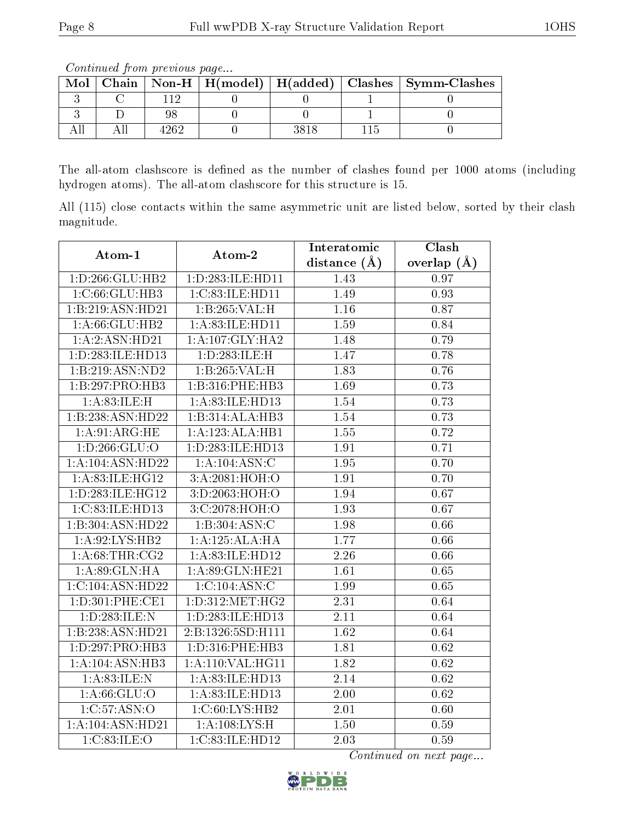Continued from previous page...

| Mol |  |  | Chain   Non-H   H(model)   H(added)   Clashes   Symm-Clashes |
|-----|--|--|--------------------------------------------------------------|
|     |  |  |                                                              |
|     |  |  |                                                              |
|     |  |  |                                                              |

The all-atom clashscore is defined as the number of clashes found per 1000 atoms (including hydrogen atoms). The all-atom clashscore for this structure is 15.

All (115) close contacts within the same asymmetric unit are listed below, sorted by their clash magnitude.

| Atom-1             | Atom-2                                        | Interatomic       | Clash             |  |
|--------------------|-----------------------------------------------|-------------------|-------------------|--|
|                    |                                               | distance $(A)$    | overlap $(A)$     |  |
| 1:D:266:GLU:HB2    | 1:D:283:ILE:HD11                              | 1.43              | 0.97              |  |
| 1:C:66:GLU:HB3     | 1:C:83:ILE:HD11                               | 1.49              | 0.93              |  |
| 1:B:219:ASN:HD21   | 1:B:265:VAL:H                                 | 1.16              | 0.87              |  |
| 1:A:66:GLU:HB2     | 1:A:83:ILE:HD11                               | 1.59              | 0.84              |  |
| 1:A:2:ASN:HD21     | 1:A:107:GLY:HA2                               | 1.48              | $\overline{0.79}$ |  |
| 1:D:283:ILE:HD13   | 1:D:283:ILE:H                                 | 1.47              | 0.78              |  |
| 1:B:219:ASN:ND2    | 1:B:265:VAL:H                                 | 1.83              | 0.76              |  |
| 1:B:297:PRO:HB3    | 1:B:316:PHE:HB3                               | 1.69              | 0.73              |  |
| 1: A:83: ILE:H     | 1:A:83:ILE:HD13                               | 1.54              | 0.73              |  |
| 1:B:238:ASN:HD22   | 1:B:314:ALA:HB3                               | 1.54              | 0.73              |  |
| 1: A:91: ARG: HE   | 1:A:123:ALA:HB1                               | 1.55              | 0.72              |  |
| 1: D: 266: GLU: O  | 1:D:283:ILE:HD13                              | 1.91              | 0.71              |  |
| 1:A:104:ASN:HD22   | 1:A:104:ASN:C                                 | 1.95              | $\overline{0}.70$ |  |
| 1: A:83: ILE: HG12 | 3:A:2081:HOH:O                                | 1.91              | 0.70              |  |
| 1:D:283:ILE:HG12   | 3:D:2063:HOH:O                                | 1.94              | 0.67              |  |
| 1:C:83:ILE:HD13    | 3:C:2078:HOH:O                                | 1.93              | 0.67              |  |
| 1:B:304:ASN:HD22   | 1:B:304:ASN:C                                 | 1.98              | 0.66              |  |
| 1:A:92:LYS:HB2     | 1:A:125:ALA:HA                                | 1.77              | 0.66              |  |
| 1: A:68:THR:CG2    | 1:A:83:ILE:HD12                               | 2.26              | 0.66              |  |
| 1:A:89:GLN:HA      | 1:A:89:GLN:HE21                               | 1.61              | 0.65              |  |
| 1:C:104:ASN:HD22   | 1:C:104:ASN:C                                 | 1.99              | 0.65              |  |
| 1: D:301: PHE:CE1  | $1: D:312: \overline{\text{MET}}: \text{HG2}$ | 2.31              | 0.64              |  |
| 1:D:283:ILE:N      | 1:D:283:ILE:HD13                              | 2.11              | 0.64              |  |
| 1:B:238:ASN:HD21   | 2:B:1326:5SD:H111                             | 1.62              | 0.64              |  |
| 1:D:297:PRO:HB3    | 1:D:316:PHE:HB3                               | 1.81              | 0.62              |  |
| 1:A:104:ASN:HB3    | 1:A:110:VAL:HG11                              | $\overline{1.82}$ | $\overline{0.62}$ |  |
| 1: A:83: ILE:N     | 1:A:83:ILE:HD13                               | 2.14              | 0.62              |  |
| 1: A:66: GLU:O     | 1:A:83:ILE:HD13                               | 2.00              | $\overline{0.62}$ |  |
| 1:C:57:ASN:O       | 1:C:60:LYS:HB2                                | 2.01              | 0.60              |  |
| 1:A:104:ASN:HD21   | 1:A:108:LYS:H                                 | 1.50              | 0.59              |  |
| 1:C:83:ILE:O       | 1:C:83:ILE:HD12                               | 2.03              | 0.59              |  |

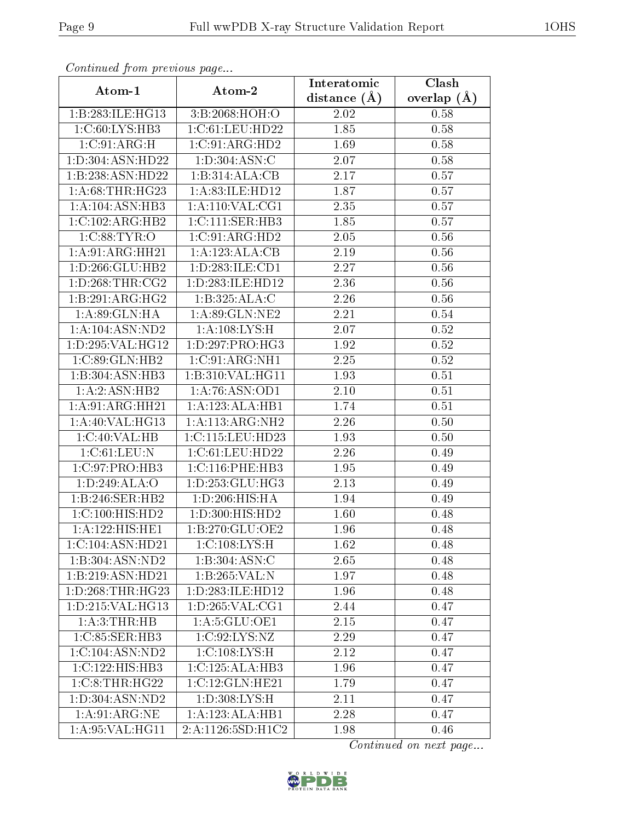| Commuca from previous page      |                              | Interatomic    | Clash           |  |
|---------------------------------|------------------------------|----------------|-----------------|--|
| Atom-1                          | Atom-2                       | distance $(A)$ | overlap $(\AA)$ |  |
| 1:B:283:ILE:HG13                | 3:B:2068:HOH:O               | 2.02           | 0.58            |  |
| 1:C:60:LYS:HB3                  | 1:C:61:LEU:HD22              | 1.85           | 0.58            |  |
| 1:C:91:ARG:H                    | 1:C:91:ARG:HD2               | 1.69           | 0.58            |  |
| 1:D:304:ASN:HD22                | 1:D:304:ASN:C                | 2.07           | 0.58            |  |
| 1:B:238:ASN:HD22                | 1:B:314:ALA:CB               | 2.17           | 0.57            |  |
| 1: A:68:THR:HG23                | 1:A:83:ILE:HD12              | 1.87           | 0.57            |  |
| 1:A:104:ASN:HB3                 | 1: A:110: VAL:CG1            | 2.35           | 0.57            |  |
| 1:C:102:ARG:HB2                 | 1:C:111:SER:HB3              | 1.85           | 0.57            |  |
| 1:C:88:TYR:O                    | 1:C:91:ARG:HD2               | 2.05           | 0.56            |  |
| 1:A:91:ARG:HH21                 | 1:A:123:ALA:CB               | 2.19           | 0.56            |  |
| $1: D: 266: \overline{GLU:HB2}$ | 1:D:283:ILE:CD1              | 2.27           | 0.56            |  |
| 1: D:268: THR:CG2               | 1:D:283:ILE:HD12             | 2.36           | 0.56            |  |
| 1:B:291:ARG:HG2                 | 1:B:325:ALA:C                | 2.26           | 0.56            |  |
| 1:A:89:GLN:HA                   | 1: A:89: GLN: NE2            | 2.21           | 0.54            |  |
| 1:A:104:ASN:ND2                 | 1:A:108:LYS:H                | 2.07           | 0.52            |  |
| 1:D:295:VAL:HG12                | 1: D: 297: PRO:HG3           | 1.92           | 0.52            |  |
| 1:C:89:GLN:HB2                  | 1:C:91:ARG:NH1               | 2.25           | 0.52            |  |
| 1:B:304:ASN:HB3                 | 1:B:310:VAL:HG11             | 1.93           | 0.51            |  |
| 1:A:2:ASN:HB2                   | 1:A:76:ASN:OD1               | 2.10           | 0.51            |  |
| 1:A:91:ARG:HH21                 | 1:A:123:ALA:HB1              | 1.74           | 0.51            |  |
| 1: A:40: VAL:HG13               | 1: A:113:ARG:NH2             | 2.26           | 0.50            |  |
| 1:C:40:VAL:HB                   | 1:C:115:LEU:HD23             | 1.93           | 0.50            |  |
| 1:C:61:LEU:N                    | 1:C:61:LEU:HD22              | 2.26           | 0.49            |  |
| 1:C:97:PRO:HB3                  | 1:C:116:PHE:HB3              | 1.95           | 0.49            |  |
| 1:D:249:ALA:O                   | 1: D: 253: GLU: HG3          | 2.13           | 0.49            |  |
| 1:B:246:SER:HB2                 | 1:D:206:HIS:HA               | 1.94           | 0.49            |  |
| 1:C:100:HIS:HD2                 | 1:D:300:HIS:HD2              | 1.60           | 0.48            |  |
| 1:A:122:HIS:HE1                 | 1:B:270:GLU:OE2              | 1.96           | 0.48            |  |
| 1:C:104:ASN:HD21                | 1: C: 108: LYS:H             | 1.62           | 0.48            |  |
| 1:B:304:ASN:ND2                 | 1:B:304:ASN:C                | 2.65           | 0.48            |  |
| 1:B:219:ASN:HD21                | 1: B:265:VAL: N              | 1.97           | 0.48            |  |
| 1:D:268:THR:HG23                | 1: D: 283: ILE: HD12         | 1.96           | 0.48            |  |
| 1: D: 215: VAL: HG13            | 1: D: 265: VAL: CG1          | 2.44           | 0.47            |  |
| 1: A:3:THR:HB                   | 1: A: 5: GLU: OE1            | 2.15           | 0.47            |  |
| 1:C:85:SER:HB3                  | 1:C:92:LYS:NZ                | 2.29           | 0.47            |  |
| 1:C:104:ASN:ND2                 | 1:C:108:LYS:H                | 2.12           | 0.47            |  |
| 1:C:122:HIS:HB3                 | $1:C:125:ALA:H\overline{B3}$ | 1.96           | 0.47            |  |
| 1:C:8:THR:HG22                  | 1:C:12:GLN:HE21              | 1.79           | 0.47            |  |
| 1:D:304:ASN:ND2                 | 1: D: 308: LYS: H            | 2.11           | 0.47            |  |
| 1: A:91: ARG:NE                 | 1:A:123:ALA:HB1              | 2.28           | 0.47            |  |
| 1:A:95:VAL:HG11                 | 2:A:1126:5SD:H1C2            | 1.98           | 0.46            |  |

Continued from previous page.

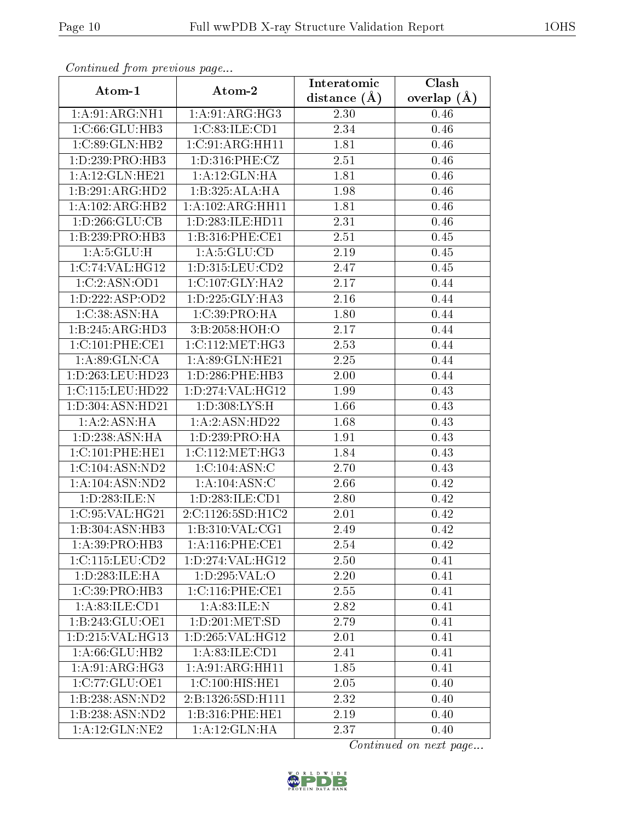| Commaca jibin previous page |                      | Interatomic       | Clash           |  |
|-----------------------------|----------------------|-------------------|-----------------|--|
| Atom-1                      | Atom-2               | distance $(A)$    | overlap $(\AA)$ |  |
| 1:A:91:ARG:NH1              | 1: A:91: ARG: HG3    | 2.30              | 0.46            |  |
| 1:C:66:GLU:HB3              | 1:C:83:ILE:CD1       | 2.34              | 0.46            |  |
| 1:C:89:GLN:HB2              | 1:C:91:ARG:HH11      | 1.81              | 0.46            |  |
| 1:D:239:PRO:HB3             | 1: D: 316: PHE: CZ   | 2.51              | 0.46            |  |
| 1: A:12: GLN: HE21          | 1: A:12: GLN: HA     | 1.81              | 0.46            |  |
| 1:B:291:ARG:HD2             | 1:B:325:ALA:HA       | 1.98              | 0.46            |  |
| 1:A:102:ARG:HB2             | 1:A:102:ARG:HH11     | 1.81              | 0.46            |  |
| 1: D: 266: GLU: CB          | 1: D: 283: ILE: HD11 | 2.31              | 0.46            |  |
| 1:B:239:PRO:HB3             | 1:B:316:PHE:CE1      | 2.51              | 0.45            |  |
| 1: A:5: GLU: H              | 1: A: 5: GLU: CD     | 2.19              | 0.45            |  |
| 1:C:74:VAL:HG12             | 1:D:315:LEU:CD2      | 2.47              | 0.45            |  |
| 1:C:2:ASN:OD1               | 1:C:107:GLY:HA2      | 2.17              | 0.44            |  |
| 1: D: 222: ASP: OD2         | 1:D:225:GLY:HA3      | 2.16              | 0.44            |  |
| 1:C:38:ASN:HA               | 1:C:39:PRO:HA        | 1.80              | 0.44            |  |
| 1:B:245:ARG:HD3             | 3:B:2058:HOH:O       | 2.17              | 0.44            |  |
| 1:C:101:PHE:CE1             | 1:C:112:MET:HG3      | 2.53              | 0.44            |  |
| 1: A:89: GLN:CA             | 1:A:89:GLN:HE21      | 2.25              | 0.44            |  |
| 1:D:263:LEU:HD23            | 1: D: 286: PHE: HB3  | 2.00              | 0.44            |  |
| 1:C:115:LEU:HD22            | 1:D:274:VAL:HG12     | 1.99              | 0.43            |  |
| 1:D:304:ASN:HD21            | 1: D: 308: LYS:H     | 1.66              | 0.43            |  |
| 1:A:2:ASN:HA                | 1:A:2:ASN:HD22       | 1.68              | 0.43            |  |
| 1:D:238:ASN:HA              | 1: D: 239: PRO: HA   | 1.91              | 0.43            |  |
| 1:C:101:PHE:HE1             | 1:C:112:MET:HG3      | 1.84              | 0.43            |  |
| 1:C:104:ASN:ND2             | 1:C:104:ASN:C        | 2.70              | 0.43            |  |
| 1:A:104:ASN:ND2             | 1:A:104:ASN:C        | 2.66              | 0.42            |  |
| 1: D: 283: ILE: N           | 1:D:283:ILE:CD1      | $\overline{2}.80$ | 0.42            |  |
| 1:C:95:VAL:HG21             | 2:C:1126:5SD:H1C2    | 2.01              | 0.42            |  |
| 1:B:304:ASN:HB3             | 1:B:310:VAL:CG1      | 2.49              | 0.42            |  |
| 1:A:39:PRO:HB3              | 1: A:116: PHE:CE1    | 2.54              | 0.42            |  |
| 1:C:115:LEU:CD2             | 1: D:274:VAL:HG12    | 2.50              | 0.41            |  |
| 1:D:283:ILE:HA              | 1:D:295:VAL:O        | 2.20              | 0.41            |  |
| 1:C:39:PRO:HB3              | 1: C: 116: PHE: CE1  | 2.55              | 0.41            |  |
| 1: A:83: ILE: CD1           | 1: A:83: ILE:N       | 2.82              | 0.41            |  |
| 1:B:243:GLU:OE1             | 1: D: 201: MET: SD   | 2.79              | 0.41            |  |
| 1:D:215:VAL:HG13            | 1: D: 265: VAL:HG12  | 2.01              | 0.41            |  |
| 1: A:66: GLU:HB2            | 1:A:83:ILE:CD1       | 2.41              | 0.41            |  |
| 1:A:91:ARG:HG3              | 1:A:91:ARG:HH11      | 1.85              | 0.41            |  |
| 1:C:77:GLU:OE1              | 1:C:100:HIS:HE1      | 2.05              | 0.40            |  |
| 1:B:238:ASN:ND2             | 2:B:1326:5SD:H111    | 2.32              | 0.40            |  |
| 1:B:238:ASN:ND2             | 1:B:316:PHE:HE1      | 2.19              | 0.40            |  |
| 1:A:12:GLN:NE2              | 1:A:12:GLN:HA        | 2.37              | 0.40            |  |

Continued from previous page.

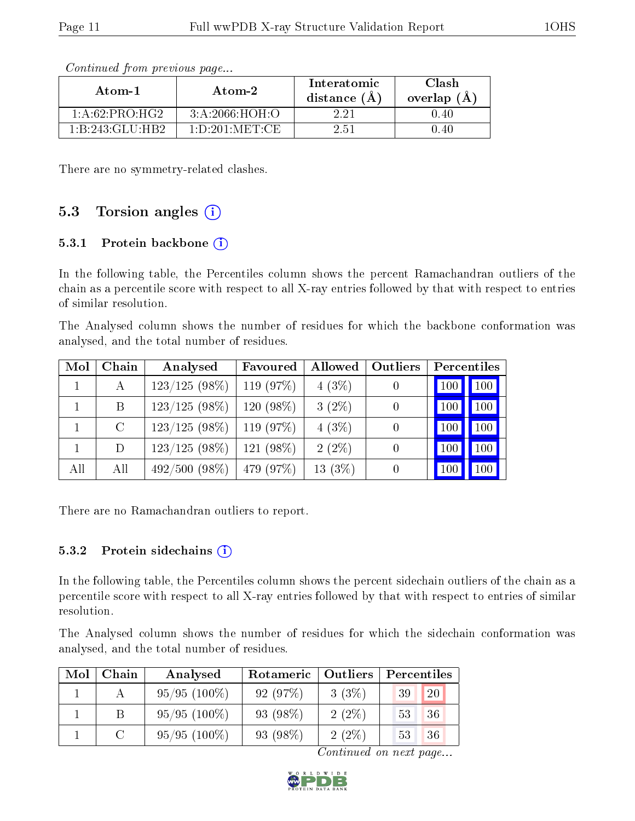| Atom-1                                     | Atom-2           | Interatomic<br>distance (Å | Clash<br>overlap $(A)$ |  |
|--------------------------------------------|------------------|----------------------------|------------------------|--|
| 1: A:62:PRO:HG2                            | 3: A:2066:HOH:O  | 2.21                       | 0.40                   |  |
| $1 \cdot B \cdot 243 \cdot GLLI \cdot HB2$ | 1: D:201: MET:CE | 2.51                       | າ 40                   |  |

Continued from previous page...

There are no symmetry-related clashes.

#### 5.3 Torsion angles  $(i)$

#### 5.3.1 Protein backbone  $(i)$

In the following table, the Percentiles column shows the percent Ramachandran outliers of the chain as a percentile score with respect to all X-ray entries followed by that with respect to entries of similar resolution.

The Analysed column shows the number of residues for which the backbone conformation was analysed, and the total number of residues.

| Mol | Chain   | Analysed        | Favoured    | Allowed   | Outliers | Percentiles    |            |
|-----|---------|-----------------|-------------|-----------|----------|----------------|------------|
|     | А       | 123/125(98%)    | 119 $(97%)$ | $4(3\%)$  |          | $100\,$        | 100        |
|     | B       | $123/125(98\%)$ | 120 (98%)   | $3(2\%)$  |          | <b>100</b>     | 100        |
|     | $\rm C$ | $123/125(98\%)$ | 119 $(97%)$ | 4(3%)     |          | <sub>100</sub> | 100        |
|     | D       | 123/125(98%)    | 121 (98%)   | $2(2\%)$  |          | 100            | $100 \mid$ |
| All | All     | 492/500(98%)    | 479 (97\%)  | $13(3\%)$ |          |                | 100        |

There are no Ramachandran outliers to report.

#### 5.3.2 Protein sidechains  $(i)$

In the following table, the Percentiles column shows the percent sidechain outliers of the chain as a percentile score with respect to all X-ray entries followed by that with respect to entries of similar resolution.

The Analysed column shows the number of residues for which the sidechain conformation was analysed, and the total number of residues.

| Mol | Chain  | Analysed<br>Rotameric   Outliers |           | Percentiles |    |    |
|-----|--------|----------------------------------|-----------|-------------|----|----|
|     |        | $95/95(100\%)$                   | 92(97%)   | 3(3%)       | 39 | 20 |
|     |        | $95/95(100\%)$                   | 93 (98\%) | $2(2\%)$    | 53 | 36 |
|     | $\cap$ | $95/95(100\%)$                   | 93 (98\%) | $2(2\%)$    | 53 | 36 |

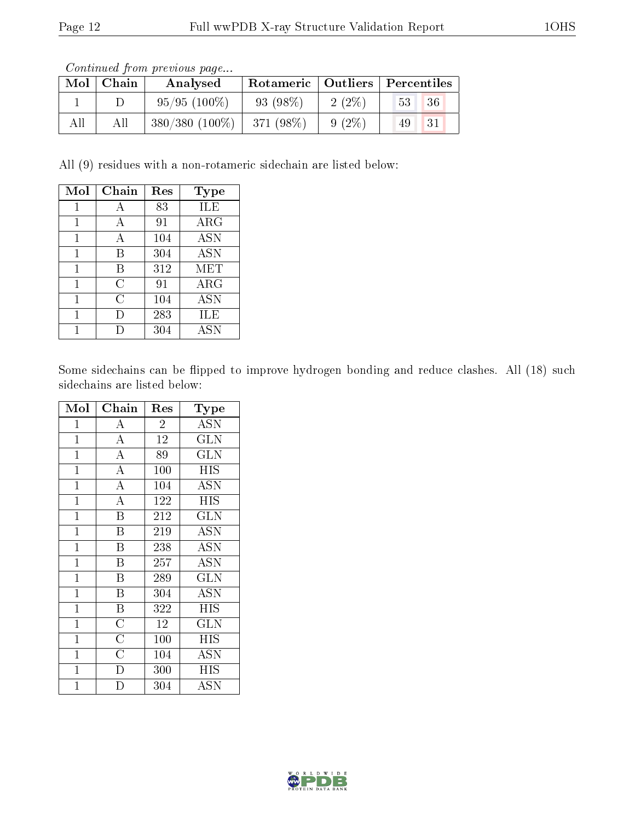Continued from previous page...

| Mol | Chain | Analysed          | Rotameric   Outliers   Percentiles |          |             |    |
|-----|-------|-------------------|------------------------------------|----------|-------------|----|
|     |       | $95/95(100\%)$    | $93(98\%)$                         | $2(2\%)$ | $\sqrt{53}$ | 36 |
|     | All   | $380/380$ (100\%) | 371 (98%)                          | $9(2\%)$ | -49         | 31 |

All (9) residues with a non-rotameric sidechain are listed below:

| Mol | Chain | Res | Type        |
|-----|-------|-----|-------------|
| 1   |       | 83  | ILE         |
| 1   | А     | 91  | $\rm{ARG}$  |
| 1   | А     | 104 | <b>ASN</b>  |
| 1   | B     | 304 | <b>ASN</b>  |
| 1   | В     | 312 | <b>MET</b>  |
| 1   | С     | 91  | ${\rm ARG}$ |
| 1   | C     | 104 | <b>ASN</b>  |
| 1   |       | 283 | ILE         |
|     |       | 304 | <b>ASN</b>  |

Some sidechains can be flipped to improve hydrogen bonding and reduce clashes. All (18) such sidechains are listed below:

| Mol            | Chain                   | Res            | Type                    |
|----------------|-------------------------|----------------|-------------------------|
| $\mathbf{1}$   | A                       | $\overline{2}$ | <b>ASN</b>              |
| $\overline{1}$ | $\overline{A}$          | 12             | <b>GLN</b>              |
| $\overline{1}$ | $\overline{\rm A}$      | 89             | $\overline{\text{GLN}}$ |
| $\mathbf{1}$   | $\overline{A}$          | 100            | <b>HIS</b>              |
| $\mathbf{1}$   | $\overline{\rm A}$      | 104            | <b>ASN</b>              |
| $\mathbf{1}$   | $\overline{A}$          | 122            | <b>HIS</b>              |
| $\mathbf 1$    | $\overline{\mathrm{B}}$ | 212            | <b>GLN</b>              |
| $\mathbf{1}$   | $\overline{\mathrm{B}}$ | 219            | <b>ASN</b>              |
| $\mathbf{1}$   | $\overline{\mathrm{B}}$ | 238            | <b>ASN</b>              |
| $\mathbf{1}$   | $\overline{\mathrm{B}}$ | 257            | <b>ASN</b>              |
| $\mathbf 1$    | $\overline{B}$          | 289            | $\overline{\text{GLN}}$ |
| $\mathbf{1}$   | B                       | 304            | <b>ASN</b>              |
| $\mathbf{1}$   | $\overline{\mathrm{B}}$ | 322            | <b>HIS</b>              |
| $\mathbf{1}$   | $\overline{\rm C}$      | 12             | <b>GLN</b>              |
| $\mathbf 1$    | $\overline{\rm C}$      | 100            | HIS                     |
| 1              | $\overline{\rm C}$      | 104            | ASN                     |
| $\mathbf 1$    | D                       | 300            | <b>HIS</b>              |
| $\overline{1}$ | D                       | 304            | ASN                     |

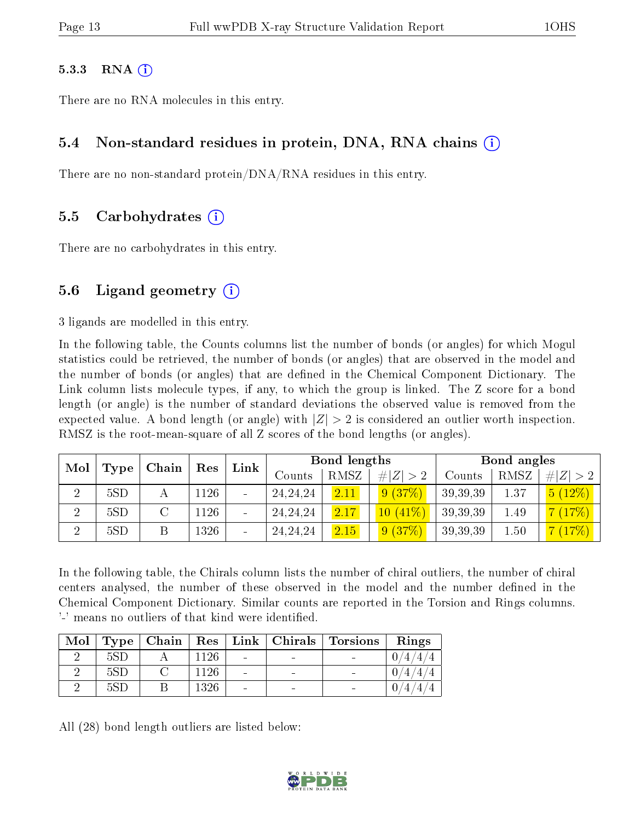#### $5.3.3$  RNA  $(i)$

There are no RNA molecules in this entry.

#### 5.4 Non-standard residues in protein, DNA, RNA chains (i)

There are no non-standard protein/DNA/RNA residues in this entry.

#### 5.5 Carbohydrates (i)

There are no carbohydrates in this entry.

#### 5.6 Ligand geometry  $(i)$

3 ligands are modelled in this entry.

In the following table, the Counts columns list the number of bonds (or angles) for which Mogul statistics could be retrieved, the number of bonds (or angles) that are observed in the model and the number of bonds (or angles) that are defined in the Chemical Component Dictionary. The Link column lists molecule types, if any, to which the group is linked. The Z score for a bond length (or angle) is the number of standard deviations the observed value is removed from the expected value. A bond length (or angle) with  $|Z| > 2$  is considered an outlier worth inspection. RMSZ is the root-mean-square of all Z scores of the bond lengths (or angles).

| Mol | Type | Chain | Link<br>Res |  |                   | Bond lengths |             |          | Bond angles |         |
|-----|------|-------|-------------|--|-------------------|--------------|-------------|----------|-------------|---------|
|     |      |       |             |  | $\mathrm{Counts}$ | RMSZ         | # $ Z  > 2$ | Counts   | RMSZ        | $\# Z $ |
| ച   | 5SD  |       | 1126        |  | 24, 24, 24        | 2.11         | 9(37%)      | 39,39,39 | 1.37        | 5(12%)  |
| ച   | 5SD  |       | 1126        |  | 24, 24, 24        | 2.17         | $10(41\%)$  | 39,39,39 | 1.49        | (17%)   |
|     | 5SD  |       | 1326        |  | 24, 24, 24        | 2.15         | 9(37%)      | 39,39,39 | 1.50        | (17%)   |

In the following table, the Chirals column lists the number of chiral outliers, the number of chiral centers analysed, the number of these observed in the model and the number defined in the Chemical Component Dictionary. Similar counts are reported in the Torsion and Rings columns. '-' means no outliers of that kind were identified.

| Mol | Type | $\mid$ Chain $\mid$ Res $\mid$ |          |                              | Link   Chirals | Torsions | Rings |
|-----|------|--------------------------------|----------|------------------------------|----------------|----------|-------|
|     | 5SE  |                                | 1126     | $\overline{\phantom{a}}$     |                |          |       |
|     |      |                                | $1126 +$ | $\qquad \qquad$              |                |          |       |
|     | 5SE  |                                | 1326     | $\qquad \qquad \blacksquare$ |                |          | 4     |

All (28) bond length outliers are listed below:

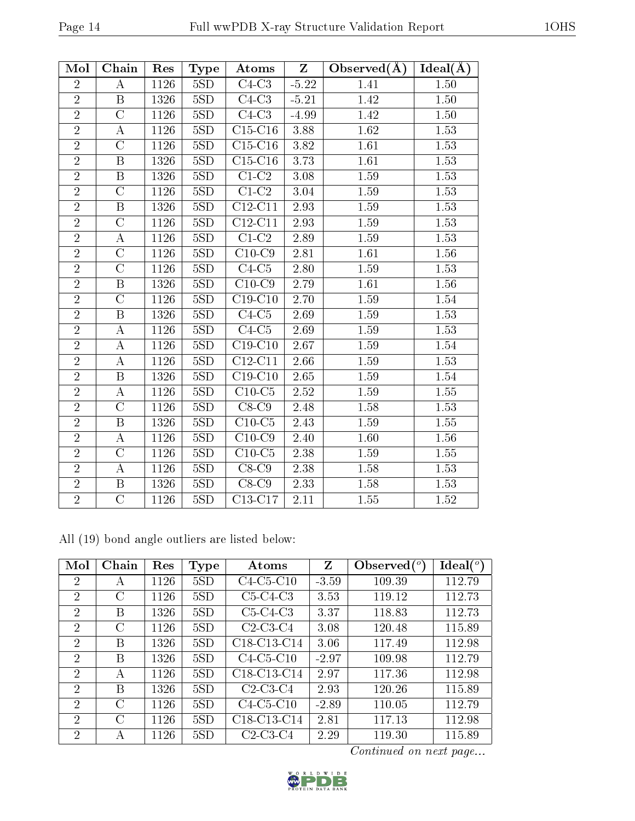| Mol            | Chain                   | Res  | <b>Type</b> | Atoms                        | $Z_{\parallel}$ | $Observed(\AA)$ | $Ideal(\AA)$      |
|----------------|-------------------------|------|-------------|------------------------------|-----------------|-----------------|-------------------|
| $\overline{2}$ | А                       | 1126 | 5SD         | $C4-C3$                      | $-5.22$         | 1.41            | 1.50              |
| $\overline{2}$ | $\overline{\mathrm{B}}$ | 1326 | 5SD         | $C4-C3$                      | $-5.21$         | 1.42            | 1.50              |
| $\overline{2}$ | $\overline{C}$          | 1126 | 5SD         | $C4-C3$                      | $-4.99$         | 1.42            | 1.50              |
| $\overline{2}$ | А                       | 1126 | 5SD         | $C15-C16$                    | 3.88            | 1.62            | 1.53              |
| $\overline{2}$ | $\overline{C}$          | 1126 | 5SD         | $\overline{\text{C15-C16}}$  | 3.82            | 1.61            | 1.53              |
| $\overline{2}$ | $\overline{\mathbf{B}}$ | 1326 | 5SD         | $C15-C16$                    | 3.73            | 1.61            | 1.53              |
| $\overline{2}$ | B                       | 1326 | 5SD         | $C1-C2$                      | 3.08            | 1.59            | 1.53              |
| $\overline{2}$ | $\overline{\rm C}$      | 1126 | 5SD         | $\overline{C1-C2}$           | 3.04            | 1.59            | 1.53              |
| $\overline{2}$ | $\overline{\mathrm{B}}$ | 1326 | 5SD         | $\overline{\text{C12}}$ -C11 | 2.93            | 1.59            | 1.53              |
| $\overline{2}$ | $\overline{C}$          | 1126 | 5SD         | $C12-C11$                    | 2.93            | 1.59            | 1.53              |
| $\overline{2}$ | A                       | 1126 | 5SD         | $C1-C2$                      | 2.89            | 1.59            | 1.53              |
| $\overline{2}$ | $\overline{\rm C}$      | 1126 | 5SD         | $\overline{C10-C9}$          | 2.81            | 1.61            | 1.56              |
| $\overline{2}$ | $\overline{C}$          | 1126 | 5SD         | $C4-C5$                      | 2.80            | 1.59            | 1.53              |
| $\overline{2}$ | B                       | 1326 | 5SD         | $C10-C9$                     | 2.79            | 1.61            | 1.56              |
| $\overline{2}$ | $\overline{C}$          | 1126 | 5SD         | $C19-C10$                    | 2.70            | 1.59            | 1.54              |
| $\overline{2}$ | $\overline{\mathrm{B}}$ | 1326 | 5SD         | $\overline{C4-C5}$           | 2.69            | 1.59            | $\overline{1.53}$ |
| $\overline{2}$ | A                       | 1126 | 5SD         | $C4-C5$                      | 2.69            | 1.59            | 1.53              |
| $\overline{2}$ | А                       | 1126 | 5SD         | $C19-C10$                    | 2.67            | 1.59            | 1.54              |
| $\overline{2}$ | $\bf{A}$                | 1126 | 5SD         | $C12-C11$                    | 2.66            | 1.59            | 1.53              |
| $\overline{2}$ | B                       | 1326 | 5SD         | $C19-C10$                    | 2.65            | 1.59            | 1.54              |
| $\overline{2}$ | $\rm \bar{A}$           | 1126 | 5SD         | $C10-C5$                     | 2.52            | 1.59            | 1.55              |
| $\overline{2}$ | $\overline{\rm C}$      | 1126 | 5SD         | $C8-C9$                      | 2.48            | 1.58            | 1.53              |
| $\overline{2}$ | B                       | 1326 | 5SD         | $C10-C5$                     | 2.43            | 1.59            | 1.55              |
| $\overline{2}$ | $\overline{\rm A}$      | 1126 | 5SD         | $C10-C9$                     | 2.40            | 1.60            | 1.56              |
| $\overline{2}$ | $\overline{C}$          | 1126 | 5SD         | $C10-C5$                     | 2.38            | 1.59            | 1.55              |
| $\overline{2}$ | А                       | 1126 | 5SD         | $\overline{C}$ 8-C9          | 2.38            | 1.58            | 1.53              |
| $\overline{2}$ | B                       | 1326 | 5SD         | $C8-C9$                      | 2.33            | 1.58            | 1.53              |
| $\overline{2}$ | $\overline{C}$          | 1126 | 5SD         | $C13-C17$                    | 2.11            | 1.55            | 1.52              |

All (19) bond angle outliers are listed below:

| Mol            | Chain         | Res  | <b>Type</b> | Atoms                                             | Z       | Observed $(°)$ | $Ideal(^o)$ |
|----------------|---------------|------|-------------|---------------------------------------------------|---------|----------------|-------------|
| $\overline{2}$ | А             | 1126 | 5SD         | $C4-C5-C10$                                       | $-3.59$ | 109.39         | 112.79      |
| $\overline{2}$ | C             | 1126 | 5SD         | $C5-C4-C3$                                        | 3.53    | 119.12         | 112.73      |
| 2              | B             | 1326 | 5SD         | $C5-C4-C3$                                        | 3.37    | 118.83         | 112.73      |
| 2              | C             | 1126 | 5SD         | $C2-C3-C4$                                        | 3.08    | 120.48         | 115.89      |
| 2              | B             | 1326 | 5SD         | C18-C13-C14                                       | 3.06    | 117.49         | 112.98      |
| 2              | B             | 1326 | 5SD         | $C4-C5-C10$                                       | $-2.97$ | 109.98         | 112.79      |
| $\mathcal{P}$  | А             | 1126 | 5SD         | C18-C13-C14                                       | 2.97    | 117.36         | 112.98      |
| $\mathcal{P}$  | B             | 1326 | 5SD         | $C2-C3-C4$                                        | 2.93    | 120.26         | 115.89      |
| $\overline{2}$ | C             | 1126 | 5SD         | $C4-C5-C10$                                       | $-2.89$ | 110.05         | 112.79      |
| $\overline{2}$ | $\mathcal{C}$ | 1126 | 5SD         | C <sub>18</sub> -C <sub>13</sub> -C <sub>14</sub> | 2.81    | 117.13         | 112.98      |
| $\overline{2}$ | А             | 1126 | 5SD         | $C2-C3-C4$                                        | 2.29    | 119.30         | 115.89      |

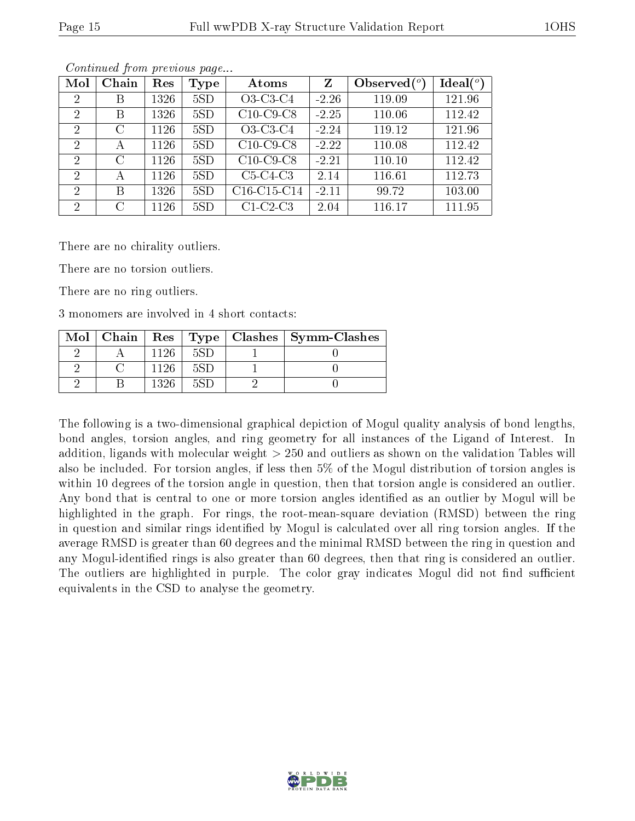| Mol                         | Chain         | Res  | Type | Atoms       | Z       | Observed $(°)$ | Ideal $(^\circ)$ |
|-----------------------------|---------------|------|------|-------------|---------|----------------|------------------|
| $\overline{2}$              | B             | 1326 | 5SD  | O3-C3-C4    | $-2.26$ | 119.09         | 121.96           |
| 2                           | B             | 1326 | 5SD  | $C10-C9-C8$ | $-2.25$ | 110.06         | 112.42           |
| 2                           | $\rm C$       | 1126 | 5SD  | O3-C3-C4    | $-2.24$ | 119.12         | 121.96           |
| $\overline{2}$              | А             | 1126 | 5SD  | $C10-C9-C8$ | $-2.22$ | 110.08         | 112.42           |
| $\overline{2}$              | $\mathcal{C}$ | 1126 | 5SD  | $C10-C9-C8$ | $-2.21$ | 110.10         | 112.42           |
| 2                           | А             | 1126 | 5SD  | $C5-C4-C3$  | 2.14    | 116.61         | 112.73           |
| $\mathcal{D}_{\mathcal{L}}$ | В             | 1326 | 5SD  | C16-C15-C14 | $-2.11$ | 99.72          | 103.00           |
| 2                           | $\rm C$       | 1126 | 5SD  | $C1-C2-C3$  | 2.04    | 116.17         | 111.95           |

Continued from previous page...

There are no chirality outliers.

There are no torsion outliers.

There are no ring outliers.

3 monomers are involved in 4 short contacts:

|  |      |     | $\text{Mol}$   Chain   Res   Type   Clashes   Symm-Clashes |
|--|------|-----|------------------------------------------------------------|
|  |      | 5SD |                                                            |
|  | 1126 | 5SD |                                                            |
|  |      |     |                                                            |

The following is a two-dimensional graphical depiction of Mogul quality analysis of bond lengths, bond angles, torsion angles, and ring geometry for all instances of the Ligand of Interest. In addition, ligands with molecular weight > 250 and outliers as shown on the validation Tables will also be included. For torsion angles, if less then 5% of the Mogul distribution of torsion angles is within 10 degrees of the torsion angle in question, then that torsion angle is considered an outlier. Any bond that is central to one or more torsion angles identified as an outlier by Mogul will be highlighted in the graph. For rings, the root-mean-square deviation (RMSD) between the ring in question and similar rings identified by Mogul is calculated over all ring torsion angles. If the average RMSD is greater than 60 degrees and the minimal RMSD between the ring in question and any Mogul-identified rings is also greater than 60 degrees, then that ring is considered an outlier. The outliers are highlighted in purple. The color gray indicates Mogul did not find sufficient equivalents in the CSD to analyse the geometry.

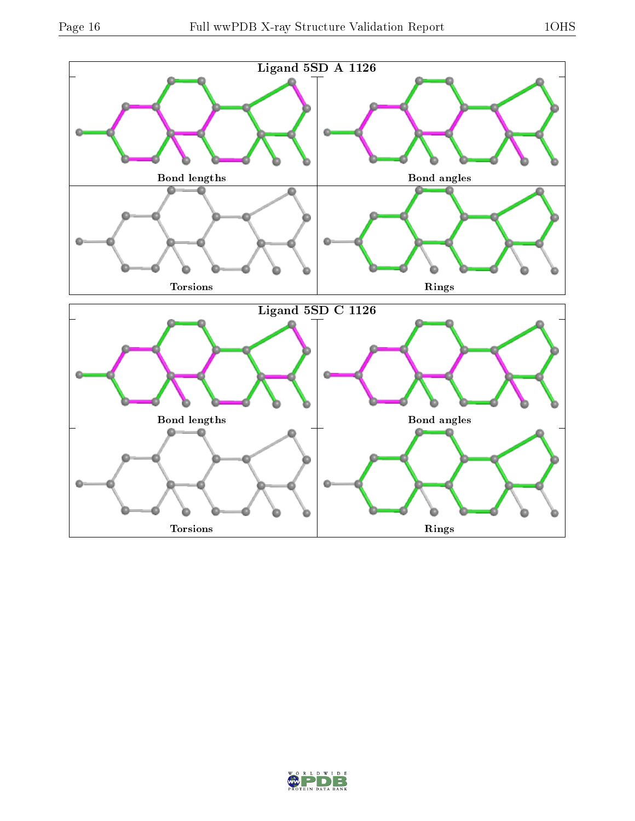

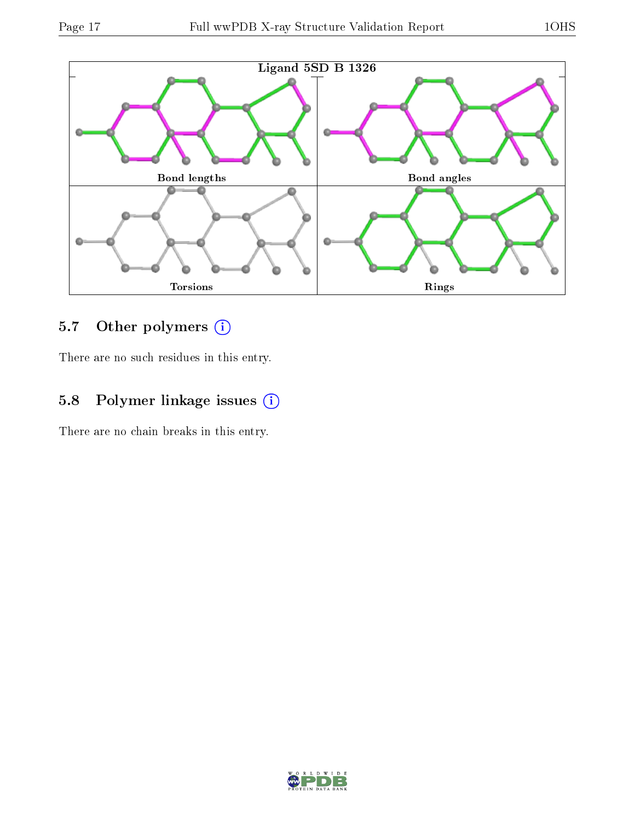

### 5.7 [O](https://www.wwpdb.org/validation/2017/XrayValidationReportHelp#nonstandard_residues_and_ligands)ther polymers (i)

There are no such residues in this entry.

### 5.8 Polymer linkage issues (i)

There are no chain breaks in this entry.